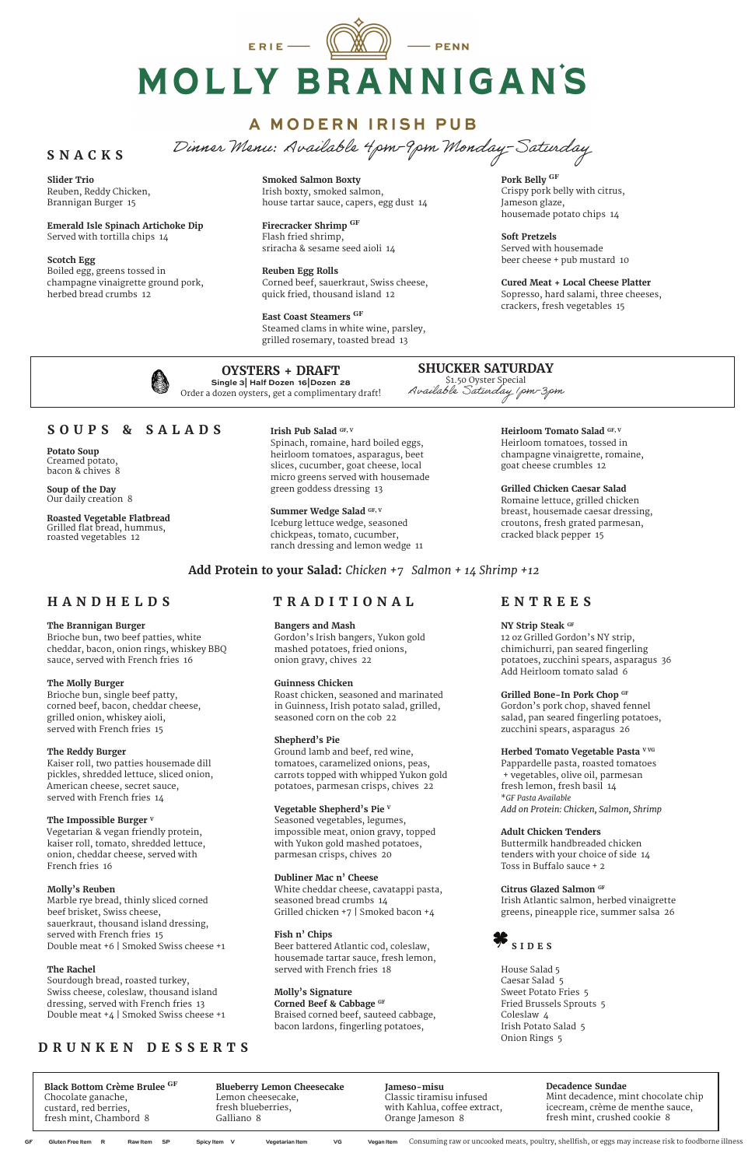ERIE  $\qquad \qquad \blacksquare$  $-$  PENN MOLLY BRANNIGAN'S

## **A MODERN IRISH PUB**

Dinner Menu: Available 4pm-9pm Monday-Saturday

### **HANDHELDS**

#### **The Brannigan Burger**

Brioche bun, two beef patties, white cheddar, bacon, onion rings, whiskey BBQ sauce, served with French fries 16

#### **The Molly Burger**

Brioche bun, single beef patty, corned beef, bacon, cheddar cheese, grilled onion, whiskey aioli, served with French fries 15

#### **The Reddy Burger**

Kaiser roll, two patties housemade dill pickles, shredded lettuce, sliced onion, American cheese, secret sauce, served with French fries 14

#### **The Impossible Burger V**

Vegetarian & vegan friendly protein, kaiser roll, tomato, shredded lettuce, onion, cheddar cheese, served with

French fries 16

#### **Molly's Reuben**

Marble rye bread, thinly sliced corned beef brisket, Swiss cheese, sauerkraut, thousand island dressing, served with French fries 15 Double meat +6 | Smoked Swiss cheese +1

#### **The Rachel**

Sourdough bread, roasted turkey, Swiss cheese, coleslaw, thousand island dressing, served with French fries 13 Double meat +4 | Smoked Swiss cheese +1

#### **Bangers and Mash**

Gordon's Irish bangers, Yukon gold mashed potatoes, fried onions, onion gravy, chives 22

#### **Guinness Chicken**

Roast chicken, seasoned and marinated in Guinness, Irish potato salad, grilled, seasoned corn on the cob 22

#### **Shepherd's Pie**

Ground lamb and beef, red wine, tomatoes, caramelized onions, peas, carrots topped with whipped Yukon gold potatoes, parmesan crisps, chives 22

#### **Vegetable Shepherd's Pie V**

Seasoned vegetables, legumes, impossible meat, onion gravy, topped with Yukon gold mashed potatoes, parmesan crisps, chives 20

#### **Dubliner Mac n' Cheese**

White cheddar cheese, cavatappi pasta, seasoned bread crumbs 14 Grilled chicken +7 | Smoked bacon +4

#### **Fish n' Chips**

Beer battered Atlantic cod, coleslaw, housemade tartar sauce, fresh lemon, served with French fries 18

**Molly's Signature Corned Beef & Cabbage GF**

Braised corned beef, sauteed cabbage, bacon lardons, fingerling potatoes,

#### **NY Strip Steak GF**

12 oz Grilled Gordon's NY strip, chimichurri, pan seared fingerling potatoes, zucchini spears, asparagus 36 Add Heirloom tomato salad 6

#### **Grilled Bone-In Pork Chop GF**

Gordon's pork chop, shaved fennel salad, pan seared fingerling potatoes, zucchini spears, asparagus 26

#### **Herbed Tomato Vegetable Pasta V VG**

Pappardelle pasta, roasted tomatoes + vegetables, olive oil, parmesan fresh lemon, fresh basil 14 \**GF Pasta Available Add on Protein: Chicken, Salmon, Shrimp*

#### **Adult Chicken Tenders**

Buttermilk handbreaded chicken tenders with your choice of side 14

Toss in Buffalo sauce + 2

#### **Citrus Glazed Salmon GF**

Irish Atlantic salmon, herbed vinaigrette greens, pineapple rice, summer salsa 26

House Salad 5 Caesar Salad 5 Sweet Potato Fries 5 Fried Brussels Sprouts 5 Coleslaw 4 Irish Potato Salad 5 Onion Rings 5

### **SOUPS & SALADS**

**Potato Soup** Creamed potato, bacon & chives 8

**Soup of the Day** Our daily creation 8

**Roasted Vegetable Flatbread** Grilled flat bread, hummus, roasted vegetables 12

#### **Irish Pub Salad GF, V**

Spinach, romaine, hard boiled eggs, heirloom tomatoes, asparagus, beet slices, cucumber, goat cheese, local micro greens served with housemade green goddess dressing 13

#### Summer Wedge Salad GF, V

Iceburg lettuce wedge, seasoned chickpeas, tomato, cucumber, ranch dressing and lemon wedge 11 **Heirloom Tomato Salad GF, V** Heirloom tomatoes, tossed in champagne vinaigrette, romaine,

goat cheese crumbles 12

**Grilled Chicken Caesar Salad** Romaine lettuce, grilled chicken breast, housemade caesar dressing, croutons, fresh grated parmesan,

cracked black pepper 15

### **Add Protein to your Salad:** *Chicken +7 Salmon + 14 Shrimp +12*



### **SNACKS**

**Slider Trio**  Reuben, Reddy Chicken, Brannigan Burger 15

**Emerald Isle Spinach Artichoke Dip** Served with tortilla chips 14

|    | <b>Black Bottom Crème Brulee GF</b> | <b>Blueberry Lemon Cheesecake</b>     | Jameso-misu                  | Decadence Sundae                                                                                    |
|----|-------------------------------------|---------------------------------------|------------------------------|-----------------------------------------------------------------------------------------------------|
|    | Chocolate ganache,                  | Lemon cheesecake,                     | Classic tiramisu infused     | Mint decadence, mint chocolate chip                                                                 |
|    | custard, red berries,               | fresh blueberries,                    | with Kahlua, coffee extract, | icecream, crème de menthe sauce,                                                                    |
|    | fresh mint, Chambord 8              | Galliano 8                            | Orange Jameson 8             | fresh mint, crushed cookie 8                                                                        |
| GF | Raw Item SP<br>Gluten Free Item R   | Vegetarian Item<br>Spicy Item V<br>VG | Vegan Item                   | Consuming raw or uncooked meats, poultry, shellfish, or eggs may increase risk to foodborne illness |

**Scotch Egg** Boiled egg, greens tossed in champagne vinaigrette ground pork, herbed bread crumbs 12

**Smoked Salmon Boxty**  Irish boxty, smoked salmon, house tartar sauce, capers, egg dust 14

**Firecracker Shrimp GF** Flash fried shrimp, sriracha & sesame seed aioli 14

**Reuben Egg Rolls** Corned beef, sauerkraut, Swiss cheese, quick fried, thousand island 12

**East Coast Steamers GF** Steamed clams in white wine, parsley, grilled rosemary, toasted bread 13

**Pork Belly GF** Crispy pork belly with citrus, Jameson glaze, housemade potato chips 14

**Soft Pretzels** Served with housemade beer cheese + pub mustard 10

**Cured Meat + Local Cheese Platter** Sopresso, hard salami, three cheeses, crackers, fresh vegetables 15



### **DRUNKEN DESSERTS**

#### **OYSTERS + DRAFT Single 3| Half Dozen 16|Dozen 28**

Order a dozen oysters, get a complimentary draft!

### **TRADITIONAL ENTREES**

**SHUCKER SATURDAY** \$1.50 Oyster Special Available Saturday 1pm-3pm